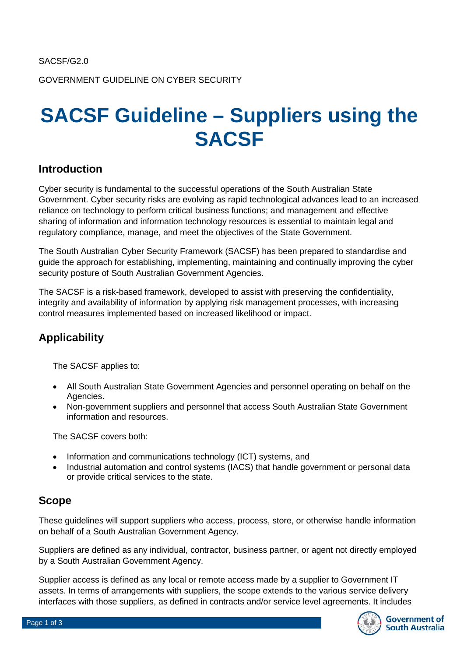GOVERNMENT GUIDELINE ON CYBER SECURITY

# **SACSF Guideline – Suppliers using the SACSF**

### **Introduction**

Cyber security is fundamental to the successful operations of the South Australian State Government. Cyber security risks are evolving as rapid technological advances lead to an increased reliance on technology to perform critical business functions; and management and effective sharing of information and information technology resources is essential to maintain legal and regulatory compliance, manage, and meet the objectives of the State Government.

The South Australian Cyber Security Framework (SACSF) has been prepared to standardise and guide the approach for establishing, implementing, maintaining and continually improving the cyber security posture of South Australian Government Agencies.

The SACSF is a risk-based framework, developed to assist with preserving the confidentiality, integrity and availability of information by applying risk management processes, with increasing control measures implemented based on increased likelihood or impact.

### **Applicability**

The SACSF applies to:

- All South Australian State Government Agencies and personnel operating on behalf on the Agencies.
- Non-government suppliers and personnel that access South Australian State Government information and resources.

The SACSF covers both:

- Information and communications technology (ICT) systems, and
- Industrial automation and control systems (IACS) that handle government or personal data or provide critical services to the state.

### **Scope**

These guidelines will support suppliers who access, process, store, or otherwise handle information on behalf of a South Australian Government Agency.

Suppliers are defined as any individual, contractor, business partner, or agent not directly employed by a South Australian Government Agency.

Supplier access is defined as any local or remote access made by a supplier to Government IT assets. In terms of arrangements with suppliers, the scope extends to the various service delivery interfaces with those suppliers, as defined in contracts and/or service level agreements. It includes

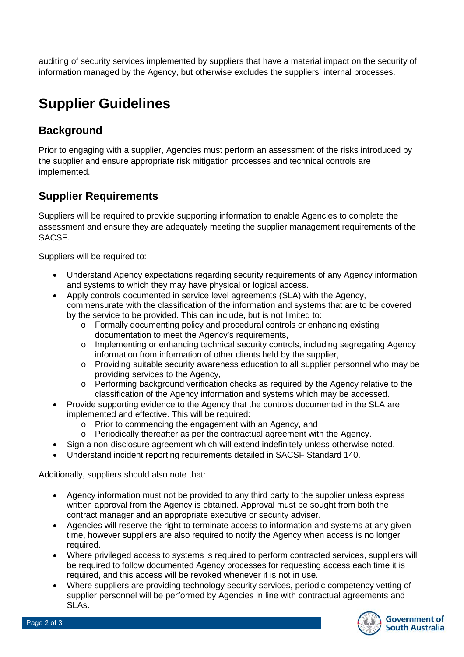auditing of security services implemented by suppliers that have a material impact on the security of information managed by the Agency, but otherwise excludes the suppliers' internal processes.

# **Supplier Guidelines**

# **Background**

Prior to engaging with a supplier, Agencies must perform an assessment of the risks introduced by the supplier and ensure appropriate risk mitigation processes and technical controls are implemented.

# **Supplier Requirements**

Suppliers will be required to provide supporting information to enable Agencies to complete the assessment and ensure they are adequately meeting the supplier management requirements of the SACSF.

Suppliers will be required to:

- Understand Agency expectations regarding security requirements of any Agency information and systems to which they may have physical or logical access.
- Apply controls documented in service level agreements (SLA) with the Agency, commensurate with the classification of the information and systems that are to be covered by the service to be provided. This can include, but is not limited to:
	- o Formally documenting policy and procedural controls or enhancing existing documentation to meet the Agency's requirements,
	- o Implementing or enhancing technical security controls, including segregating Agency information from information of other clients held by the supplier,
	- o Providing suitable security awareness education to all supplier personnel who may be providing services to the Agency,
	- o Performing background verification checks as required by the Agency relative to the classification of the Agency information and systems which may be accessed.
- Provide supporting evidence to the Agency that the controls documented in the SLA are implemented and effective. This will be required:
	- o Prior to commencing the engagement with an Agency, and
	- o Periodically thereafter as per the contractual agreement with the Agency.
- Sign a non-disclosure agreement which will extend indefinitely unless otherwise noted.
- Understand incident reporting requirements detailed in SACSF Standard 140.

Additionally, suppliers should also note that:

- Agency information must not be provided to any third party to the supplier unless express written approval from the Agency is obtained. Approval must be sought from both the contract manager and an appropriate executive or security adviser.
- Agencies will reserve the right to terminate access to information and systems at any given time, however suppliers are also required to notify the Agency when access is no longer required.
- Where privileged access to systems is required to perform contracted services, suppliers will be required to follow documented Agency processes for requesting access each time it is required, and this access will be revoked whenever it is not in use.
- Where suppliers are providing technology security services, periodic competency vetting of supplier personnel will be performed by Agencies in line with contractual agreements and SLAs.